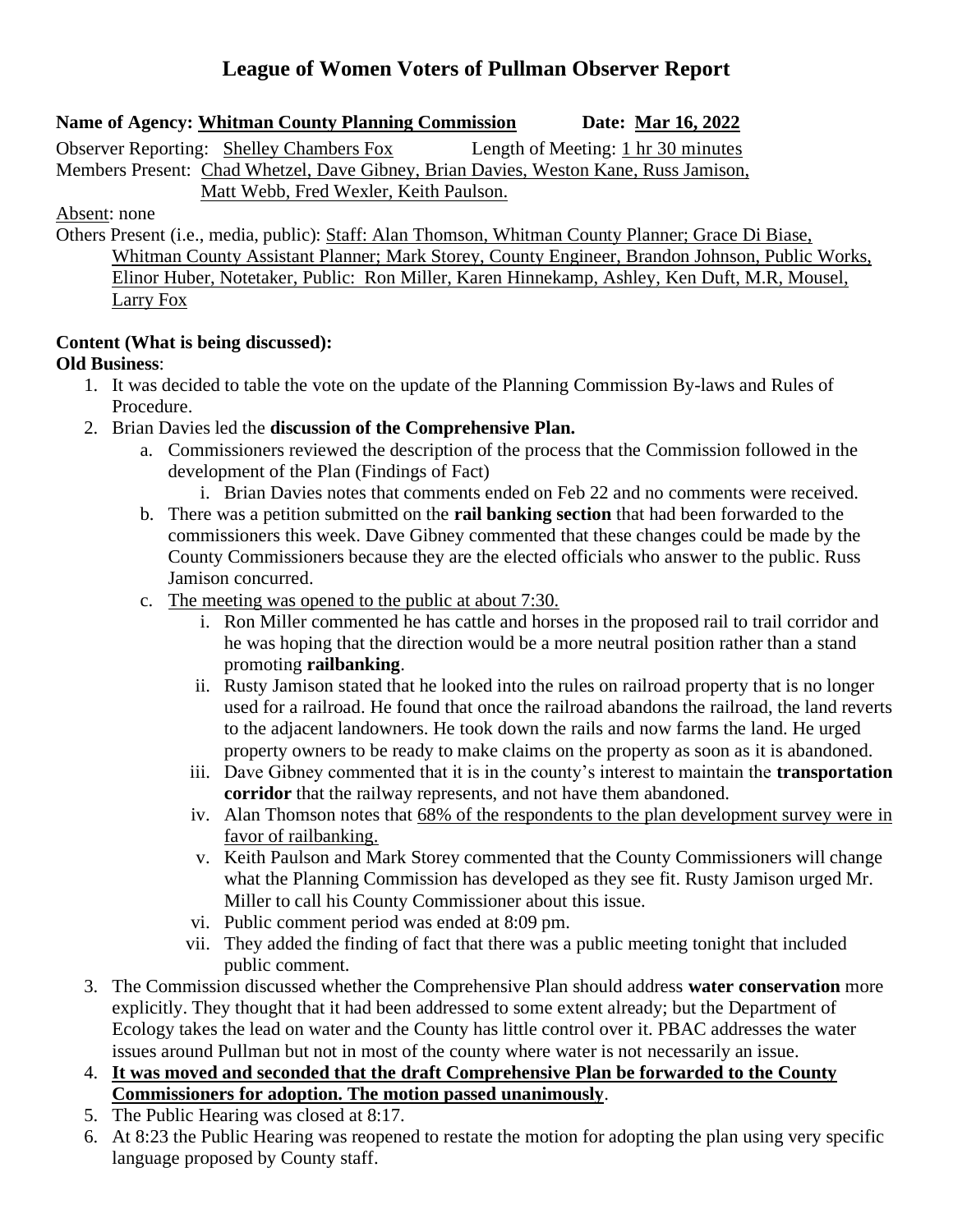# **League of Women Voters of Pullman Observer Report**

### **Name of Agency: Whitman County Planning Commission Date: Mar 16, 2022**

Observer Reporting: Shelley Chambers Fox Length of Meeting: 1 hr 30 minutes Members Present: Chad Whetzel, Dave Gibney, Brian Davies, Weston Kane, Russ Jamison, Matt Webb, Fred Wexler, Keith Paulson.

#### Absent: none

Others Present (i.e., media, public): Staff: Alan Thomson, Whitman County Planner; Grace Di Biase, Whitman County Assistant Planner; Mark Storey, County Engineer, Brandon Johnson, Public Works, Elinor Huber, Notetaker, Public: Ron Miller, Karen Hinnekamp, Ashley, Ken Duft, M.R, Mousel, Larry Fox

### **Content (What is being discussed):**

## **Old Business**:

- 1. It was decided to table the vote on the update of the Planning Commission By-laws and Rules of Procedure.
- 2. Brian Davies led the **discussion of the Comprehensive Plan.**
	- a. Commissioners reviewed the description of the process that the Commission followed in the development of the Plan (Findings of Fact)
		- i. Brian Davies notes that comments ended on Feb 22 and no comments were received.
	- b. There was a petition submitted on the **rail banking section** that had been forwarded to the commissioners this week. Dave Gibney commented that these changes could be made by the County Commissioners because they are the elected officials who answer to the public. Russ Jamison concurred.
	- c. The meeting was opened to the public at about 7:30.
		- i. Ron Miller commented he has cattle and horses in the proposed rail to trail corridor and he was hoping that the direction would be a more neutral position rather than a stand promoting **railbanking**.
		- ii. Rusty Jamison stated that he looked into the rules on railroad property that is no longer used for a railroad. He found that once the railroad abandons the railroad, the land reverts to the adjacent landowners. He took down the rails and now farms the land. He urged property owners to be ready to make claims on the property as soon as it is abandoned.
		- iii. Dave Gibney commented that it is in the county's interest to maintain the **transportation corridor** that the railway represents, and not have them abandoned.
		- iv. Alan Thomson notes that 68% of the respondents to the plan development survey were in favor of railbanking.
		- v. Keith Paulson and Mark Storey commented that the County Commissioners will change what the Planning Commission has developed as they see fit. Rusty Jamison urged Mr. Miller to call his County Commissioner about this issue.
		- vi. Public comment period was ended at 8:09 pm.
		- vii. They added the finding of fact that there was a public meeting tonight that included public comment.
- 3. The Commission discussed whether the Comprehensive Plan should address **water conservation** more explicitly. They thought that it had been addressed to some extent already; but the Department of Ecology takes the lead on water and the County has little control over it. PBAC addresses the water issues around Pullman but not in most of the county where water is not necessarily an issue.
- 4. **It was moved and seconded that the draft Comprehensive Plan be forwarded to the County Commissioners for adoption. The motion passed unanimously**.
- 5. The Public Hearing was closed at 8:17.
- 6. At 8:23 the Public Hearing was reopened to restate the motion for adopting the plan using very specific language proposed by County staff.